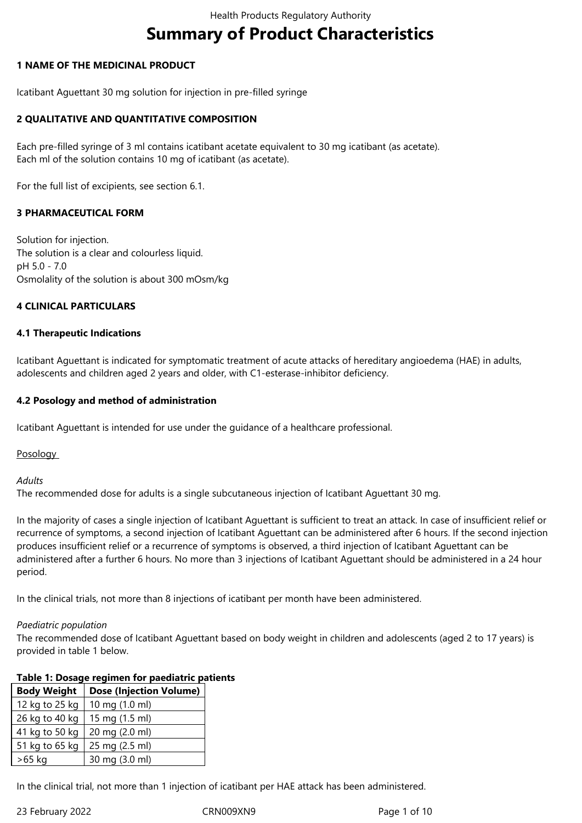# **Summary of Product Characteristics**

## **1 NAME OF THE MEDICINAL PRODUCT**

Icatibant Aguettant 30 mg solution for injection in pre-filled syringe

## **2 QUALITATIVE AND QUANTITATIVE COMPOSITION**

Each pre-filled syringe of 3 ml contains icatibant acetate equivalent to 30 mg icatibant (as acetate). Each ml of the solution contains 10 mg of icatibant (as acetate).

For the full list of excipients, see section 6.1.

## **3 PHARMACEUTICAL FORM**

Solution for injection. The solution is a clear and colourless liquid. pH 5.0 - 7.0 Osmolality of the solution is about 300 mOsm/kg

#### **4 CLINICAL PARTICULARS**

#### **4.1 Therapeutic Indications**

Icatibant Aguettant is indicated for symptomatic treatment of acute attacks of hereditary angioedema (HAE) in adults, adolescents and children aged 2 years and older, with C1-esterase-inhibitor deficiency.

#### **4.2 Posology and method of administration**

Icatibant Aguettant is intended for use under the guidance of a healthcare professional.

**Posology** 

*Adults* 

The recommended dose for adults is a single subcutaneous injection of Icatibant Aguettant 30 mg.

In the majority of cases a single injection of Icatibant Aguettant is sufficient to treat an attack. In case of insufficient relief or recurrence of symptoms, a second injection of Icatibant Aguettant can be administered after 6 hours. If the second injection produces insufficient relief or a recurrence of symptoms is observed, a third injection of Icatibant Aguettant can be administered after a further 6 hours. No more than 3 injections of Icatibant Aguettant should be administered in a 24 hour period.

In the clinical trials, not more than 8 injections of icatibant per month have been administered.

#### *Paediatric population*

The recommended dose of Icatibant Aguettant based on body weight in children and adolescents (aged 2 to 17 years) is provided in table 1 below.

#### **Table 1: Dosage regimen for paediatric patients**

| <b>Body Weight</b> | <b>Dose (Injection Volume)</b> |
|--------------------|--------------------------------|
| 12 kg to 25 kg     | 10 mg (1.0 ml)                 |
| 26 kg to 40 kg     | 15 mg (1.5 ml)                 |
| 41 kg to 50 kg     | 20 mg (2.0 ml)                 |
| 51 kg to 65 kg     | 25 mg (2.5 ml)                 |
| >65 kg             | 30 mg (3.0 ml)                 |

In the clinical trial, not more than 1 injection of icatibant per HAE attack has been administered.

23 February 2022 CRN009XN9 Page 1 of 10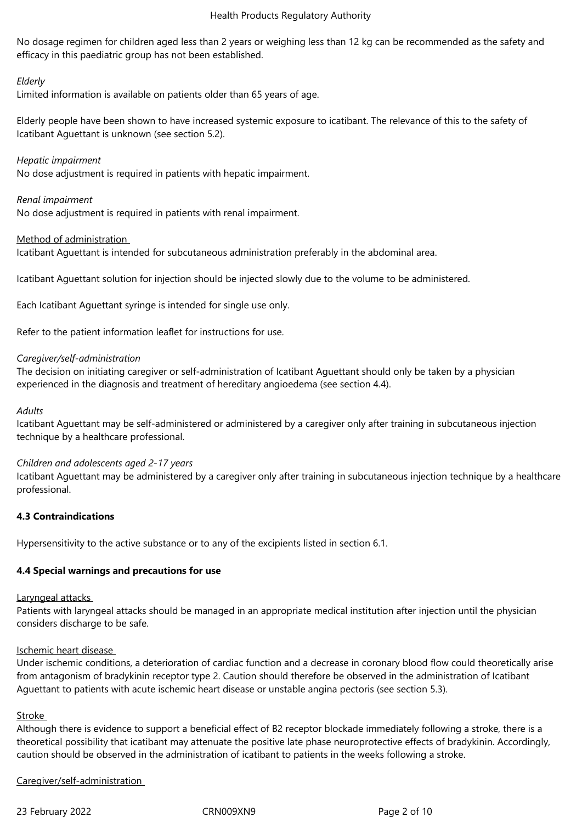No dosage regimen for children aged less than 2 years or weighing less than 12 kg can be recommended as the safety and efficacy in this paediatric group has not been established.

# *Elderly*

Limited information is available on patients older than 65 years of age.

Elderly people have been shown to have increased systemic exposure to icatibant. The relevance of this to the safety of Icatibant Aguettant is unknown (see section 5.2).

## *Hepatic impairment*

No dose adjustment is required in patients with hepatic impairment.

## *Renal impairment*

No dose adjustment is required in patients with renal impairment.

## Method of administration

Icatibant Aguettant is intended for subcutaneous administration preferably in the abdominal area.

Icatibant Aguettant solution for injection should be injected slowly due to the volume to be administered.

Each Icatibant Aguettant syringe is intended for single use only.

Refer to the patient information leaflet for instructions for use.

## *Caregiver/self-administration*

The decision on initiating caregiver or self-administration of Icatibant Aguettant should only be taken by a physician experienced in the diagnosis and treatment of hereditary angioedema (see section 4.4).

#### *Adults*

Icatibant Aguettant may be self-administered or administered by a caregiver only after training in subcutaneous injection technique by a healthcare professional.

#### *Children and adolescents aged 2-17 years*

Icatibant Aguettant may be administered by a caregiver only after training in subcutaneous injection technique by a healthcare professional.

# **4.3 Contraindications**

Hypersensitivity to the active substance or to any of the excipients listed in section 6.1.

# **4.4 Special warnings and precautions for use**

#### Laryngeal attacks

Patients with laryngeal attacks should be managed in an appropriate medical institution after injection until the physician considers discharge to be safe.

#### Ischemic heart disease

Under ischemic conditions, a deterioration of cardiac function and a decrease in coronary blood flow could theoretically arise from antagonism of bradykinin receptor type 2. Caution should therefore be observed in the administration of Icatibant Aguettant to patients with acute ischemic heart disease or unstable angina pectoris (see section 5.3).

#### Stroke

Although there is evidence to support a beneficial effect of B2 receptor blockade immediately following a stroke, there is a theoretical possibility that icatibant may attenuate the positive late phase neuroprotective effects of bradykinin. Accordingly, caution should be observed in the administration of icatibant to patients in the weeks following a stroke.

Caregiver/self-administration

23 February 2022 CRN009XN9 Page 2 of 10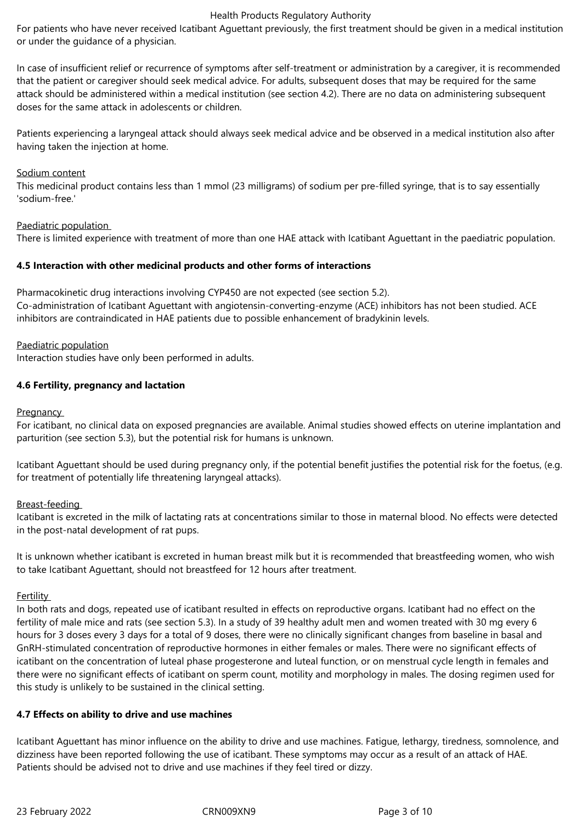For patients who have never received Icatibant Aguettant previously, the first treatment should be given in a medical institution or under the guidance of a physician.

In case of insufficient relief or recurrence of symptoms after self-treatment or administration by a caregiver, it is recommended that the patient or caregiver should seek medical advice. For adults, subsequent doses that may be required for the same attack should be administered within a medical institution (see section 4.2). There are no data on administering subsequent doses for the same attack in adolescents or children.

Patients experiencing a laryngeal attack should always seek medical advice and be observed in a medical institution also after having taken the injection at home.

#### Sodium content

This medicinal product contains less than 1 mmol (23 milligrams) of sodium per pre-filled syringe, that is to say essentially 'sodium-free.'

#### Paediatric population

There is limited experience with treatment of more than one HAE attack with Icatibant Aguettant in the paediatric population.

#### **4.5 Interaction with other medicinal products and other forms of interactions**

Pharmacokinetic drug interactions involving CYP450 are not expected (see section 5.2). Co-administration of Icatibant Aguettant with angiotensin-converting-enzyme (ACE) inhibitors has not been studied. ACE inhibitors are contraindicated in HAE patients due to possible enhancement of bradykinin levels.

Paediatric population

Interaction studies have only been performed in adults.

#### **4.6 Fertility, pregnancy and lactation**

**Pregnancy** 

For icatibant, no clinical data on exposed pregnancies are available. Animal studies showed effects on uterine implantation and parturition (see section 5.3), but the potential risk for humans is unknown.

Icatibant Aguettant should be used during pregnancy only, if the potential benefit justifies the potential risk for the foetus, (e.g. for treatment of potentially life threatening laryngeal attacks).

#### Breast-feeding

Icatibant is excreted in the milk of lactating rats at concentrations similar to those in maternal blood. No effects were detected in the post-natal development of rat pups.

It is unknown whether icatibant is excreted in human breast milk but it is recommended that breastfeeding women, who wish to take Icatibant Aguettant, should not breastfeed for 12 hours after treatment.

#### Fertility

In both rats and dogs, repeated use of icatibant resulted in effects on reproductive organs. Icatibant had no effect on the fertility of male mice and rats (see section 5.3). In a study of 39 healthy adult men and women treated with 30 mg every 6 hours for 3 doses every 3 days for a total of 9 doses, there were no clinically significant changes from baseline in basal and GnRH-stimulated concentration of reproductive hormones in either females or males. There were no significant effects of icatibant on the concentration of luteal phase progesterone and luteal function, or on menstrual cycle length in females and there were no significant effects of icatibant on sperm count, motility and morphology in males. The dosing regimen used for this study is unlikely to be sustained in the clinical setting.

#### **4.7 Effects on ability to drive and use machines**

Icatibant Aguettant has minor influence on the ability to drive and use machines. Fatigue, lethargy, tiredness, somnolence, and dizziness have been reported following the use of icatibant. These symptoms may occur as a result of an attack of HAE. Patients should be advised not to drive and use machines if they feel tired or dizzy.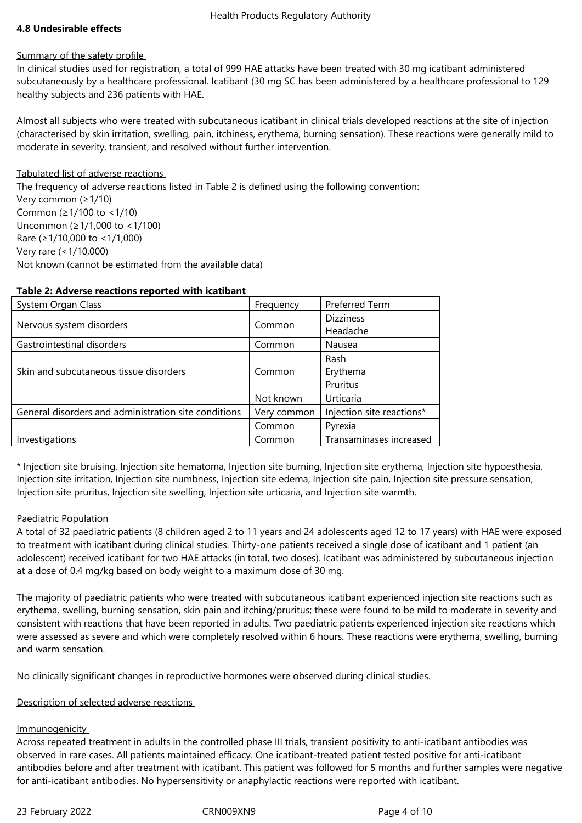# **4.8 Undesirable effects**

#### Summary of the safety profile

In clinical studies used for registration, a total of 999 HAE attacks have been treated with 30 mg icatibant administered subcutaneously by a healthcare professional. Icatibant (30 mg SC has been administered by a healthcare professional to 129 healthy subjects and 236 patients with HAE.

Almost all subjects who were treated with subcutaneous icatibant in clinical trials developed reactions at the site of injection (characterised by skin irritation, swelling, pain, itchiness, erythema, burning sensation). These reactions were generally mild to moderate in severity, transient, and resolved without further intervention.

## Tabulated list of adverse reactions

The frequency of adverse reactions listed in Table 2 is defined using the following convention: Very common (≥1/10) Common (≥1/100 to <1/10) Uncommon (≥1/1,000 to <1/100) Rare (≥1/10,000 to <1/1,000) Very rare (<1/10,000) Not known (cannot be estimated from the available data)

#### **Table 2: Adverse reactions reported with icatibant**

| System Organ Class                                   | Frequency                                         | Preferred Term            |
|------------------------------------------------------|---------------------------------------------------|---------------------------|
|                                                      | Common                                            | <b>Dizziness</b>          |
| Nervous system disorders                             |                                                   | Headache                  |
| Gastrointestinal disorders                           | Common                                            | Nausea                    |
|                                                      |                                                   | Rash                      |
| Skin and subcutaneous tissue disorders               | Common                                            | Erythema                  |
|                                                      | Pruritus<br>Urticaria<br>Not known<br>Very common |                           |
|                                                      |                                                   |                           |
| General disorders and administration site conditions |                                                   | Injection site reactions* |
|                                                      | Common                                            | Pyrexia                   |
| Investigations                                       | Common                                            | Transaminases increased   |

\* Injection site bruising, Injection site hematoma, Injection site burning, Injection site erythema, Injection site hypoesthesia, Injection site irritation, Injection site numbness, Injection site edema, Injection site pain, Injection site pressure sensation, Injection site pruritus, Injection site swelling, Injection site urticaria, and Injection site warmth.

# Paediatric Population

A total of 32 paediatric patients (8 children aged 2 to 11 years and 24 adolescents aged 12 to 17 years) with HAE were exposed to treatment with icatibant during clinical studies. Thirty-one patients received a single dose of icatibant and 1 patient (an adolescent) received icatibant for two HAE attacks (in total, two doses). Icatibant was administered by subcutaneous injection at a dose of 0.4 mg/kg based on body weight to a maximum dose of 30 mg.

The majority of paediatric patients who were treated with subcutaneous icatibant experienced injection site reactions such as erythema, swelling, burning sensation, skin pain and itching/pruritus; these were found to be mild to moderate in severity and consistent with reactions that have been reported in adults. Two paediatric patients experienced injection site reactions which were assessed as severe and which were completely resolved within 6 hours. These reactions were erythema, swelling, burning and warm sensation.

No clinically significant changes in reproductive hormones were observed during clinical studies.

# Description of selected adverse reactions

#### **Immunogenicity**

Across repeated treatment in adults in the controlled phase III trials, transient positivity to anti-icatibant antibodies was observed in rare cases. All patients maintained efficacy. One icatibant-treated patient tested positive for anti-icatibant antibodies before and after treatment with icatibant. This patient was followed for 5 months and further samples were negative for anti-icatibant antibodies. No hypersensitivity or anaphylactic reactions were reported with icatibant.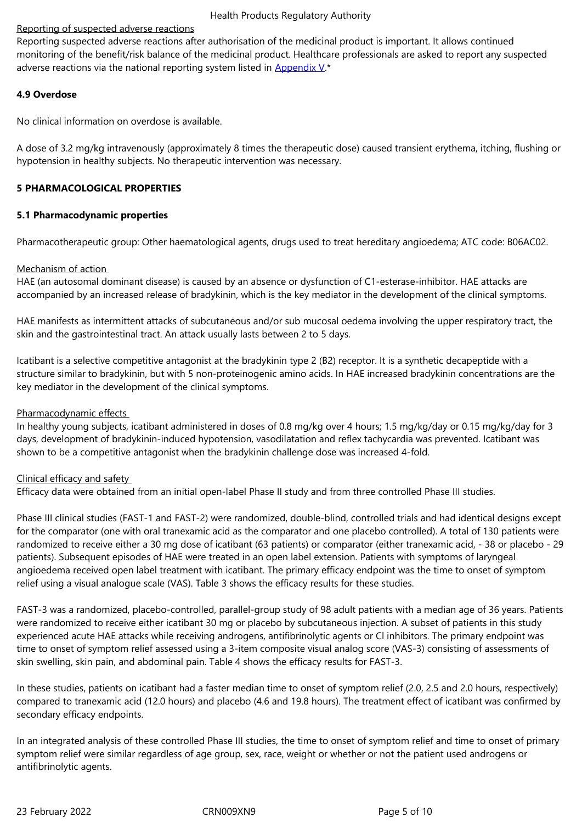monitoring of the benefit/risk balance of the medicinal product. Healthcare professionals are asked to report any suspected adverse reactions via the national reporting system listed in Appendix  $V^*$ 

## **4.9 Overdose**

No clinical information on overdose is available.

A dose of 3.2 mg/kg intravenously (approximately 8 times the therapeutic dose) caused transient erythema, itching, flushing or hypotension in healthy subjects. No therapeutic intervention was necessary.

## **5 PHARMACOLOGICAL PROPERTIES**

#### **5.1 Pharmacodynamic properties**

Pharmacotherapeutic group: Other haematological agents, drugs used to treat hereditary angioedema; ATC code: B06AC02.

## Mechanism of action

HAE (an autosomal dominant disease) is caused by an absence or dysfunction of C1-esterase-inhibitor. HAE attacks are accompanied by an increased release of bradykinin, which is the key mediator in the development of the clinical symptoms.

HAE manifests as intermittent attacks of subcutaneous and/or sub mucosal oedema involving the upper respiratory tract, the skin and the gastrointestinal tract. An attack usually lasts between 2 to 5 days.

Icatibant is a selective competitive antagonist at the bradykinin type 2 (B2) receptor. It is a synthetic decapeptide with a structure similar to bradykinin, but with 5 non-proteinogenic amino acids. In HAE increased bradykinin concentrations are the key mediator in the development of the clinical symptoms.

#### Pharmacodynamic effects

In healthy young subjects, icatibant administered in doses of 0.8 mg/kg over 4 hours; 1.5 mg/kg/day or 0.15 mg/kg/day for 3 days, development of bradykinin-induced hypotension, vasodilatation and reflex tachycardia was prevented. Icatibant was shown to be a competitive antagonist when the bradykinin challenge dose was increased 4-fold.

#### Clinical efficacy and safety

Efficacy data were obtained from an initial open-label Phase II study and from three controlled Phase III studies.

Phase III clinical studies (FAST-1 and FAST-2) were randomized, double-blind, controlled trials and had identical designs except for the comparator (one with oral tranexamic acid as the comparator and one placebo controlled). A total of 130 patients were randomized to receive either a 30 mg dose of icatibant (63 patients) or comparator (either tranexamic acid, - 38 or placebo - 29 patients). Subsequent episodes of HAE were treated in an open label extension. Patients with symptoms of laryngeal angioedema received open label treatment with icatibant. The primary efficacy endpoint was the time to onset of symptom relief using a visual analogue scale (VAS). Table 3 shows the efficacy results for these studies.

FAST-3 was a randomized, placebo-controlled, parallel-group study of 98 adult patients with a median age of 36 years. Patients were randomized to receive either icatibant 30 mg or placebo by subcutaneous injection. A subset of patients in this study experienced acute HAE attacks while receiving androgens, antifibrinolytic agents or Cl inhibitors. The primary endpoint was time to onset of symptom relief assessed using a 3-item composite visual analog score (VAS-3) consisting of assessments of skin swelling, skin pain, and abdominal pain. Table 4 shows the efficacy results for FAST-3.

In these studies, patients on icatibant had a faster median time to onset of symptom relief (2.0, 2.5 and 2.0 hours, respectively) compared to tranexamic acid (12.0 hours) and placebo (4.6 and 19.8 hours). The treatment effect of icatibant was confirmed by secondary efficacy endpoints.

In an integrated analysis of these controlled Phase III studies, the time to onset of symptom relief and time to onset of primary symptom relief were similar regardless of age group, sex, race, weight or whether or not the patient used androgens or antifibrinolytic agents.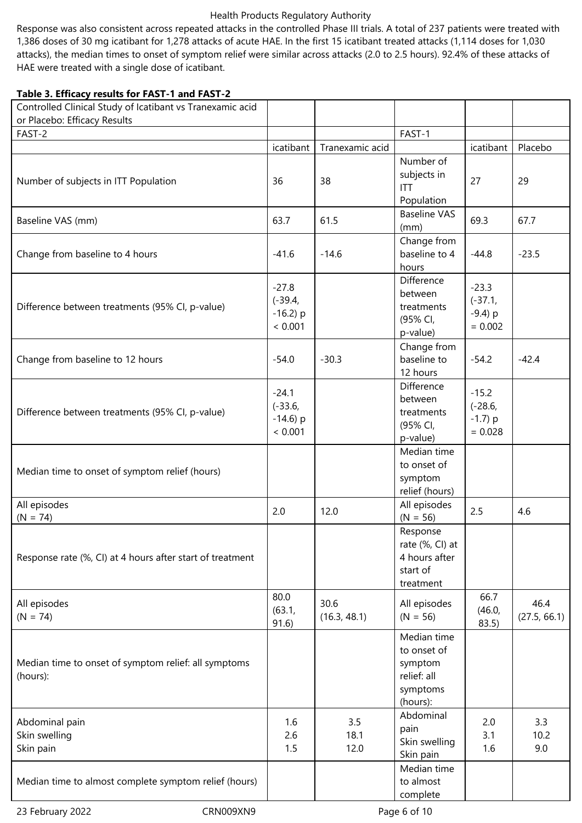Response was also consistent across repeated attacks in the controlled Phase III trials. A total of 237 patients were treated with 1,386 doses of 30 mg icatibant for 1,278 attacks of acute HAE. In the first 15 icatibant treated attacks (1,114 doses for 1,030 attacks), the median times to onset of symptom relief were similar across attacks (2.0 to 2.5 hours). 92.4% of these attacks of HAE were treated with a single dose of icatibant.

## **Table 3. Efficacy results for FAST-1 and FAST-2**

| Controlled Clinical Study of Icatibant vs Tranexamic acid        |                                                |                      |                                                                              |                                                 |                      |
|------------------------------------------------------------------|------------------------------------------------|----------------------|------------------------------------------------------------------------------|-------------------------------------------------|----------------------|
| or Placebo: Efficacy Results<br>FAST-2                           |                                                |                      | FAST-1                                                                       |                                                 |                      |
|                                                                  | icatibant                                      | Tranexamic acid      |                                                                              | icatibant                                       | Placebo              |
|                                                                  |                                                |                      | Number of                                                                    |                                                 |                      |
| Number of subjects in ITT Population                             | 36                                             | 38                   | subjects in<br><b>ITT</b><br>Population                                      | 27                                              | 29                   |
| Baseline VAS (mm)                                                | 63.7                                           | 61.5                 | <b>Baseline VAS</b><br>(mm)                                                  | 69.3                                            | 67.7                 |
| Change from baseline to 4 hours                                  | $-41.6$                                        | $-14.6$              | Change from<br>baseline to 4<br>hours                                        | $-44.8$                                         | $-23.5$              |
| Difference between treatments (95% CI, p-value)                  | $-27.8$<br>$(-39.4,$<br>$-16.2$ ) p<br>< 0.001 |                      | Difference<br>between<br>treatments<br>(95% CI,<br>p-value)                  | $-23.3$<br>$(-37.1,$<br>$-9.4$ ) p<br>$= 0.002$ |                      |
| Change from baseline to 12 hours                                 | $-54.0$                                        | $-30.3$              | Change from<br>baseline to<br>12 hours                                       | $-54.2$                                         | $-42.4$              |
| Difference between treatments (95% CI, p-value)                  | $-24.1$<br>$(-33.6,$<br>$-14.6$ ) p<br>< 0.001 |                      | Difference<br>between<br>treatments<br>(95% CI,<br>p-value)                  | $-15.2$<br>$(-28.6,$<br>$-1.7$ ) p<br>$= 0.028$ |                      |
| Median time to onset of symptom relief (hours)                   |                                                |                      | Median time<br>to onset of<br>symptom<br>relief (hours)                      |                                                 |                      |
| All episodes<br>$(N = 74)$                                       | 2.0                                            | 12.0                 | All episodes<br>$(N = 56)$                                                   | 2.5                                             | 4.6                  |
| Response rate (%, CI) at 4 hours after start of treatment        |                                                |                      | Response<br>rate (%, CI) at<br>4 hours after<br>start of<br>treatment        |                                                 |                      |
| All episodes<br>$(N = 74)$                                       | 80.0<br>(63.1,<br>91.6)                        | 30.6<br>(16.3, 48.1) | All episodes<br>$(N = 56)$                                                   | 66.7<br>(46.0,<br>83.5)                         | 46.4<br>(27.5, 66.1) |
| Median time to onset of symptom relief: all symptoms<br>(hours): |                                                |                      | Median time<br>to onset of<br>symptom<br>relief: all<br>symptoms<br>(hours): |                                                 |                      |
| Abdominal pain<br>Skin swelling<br>Skin pain                     | 1.6<br>2.6<br>1.5                              | 3.5<br>18.1<br>12.0  | Abdominal<br>pain<br>Skin swelling<br>Skin pain                              | 2.0<br>3.1<br>1.6                               | 3.3<br>10.2<br>9.0   |
| Median time to almost complete symptom relief (hours)            |                                                |                      | Median time<br>to almost<br>complete                                         |                                                 |                      |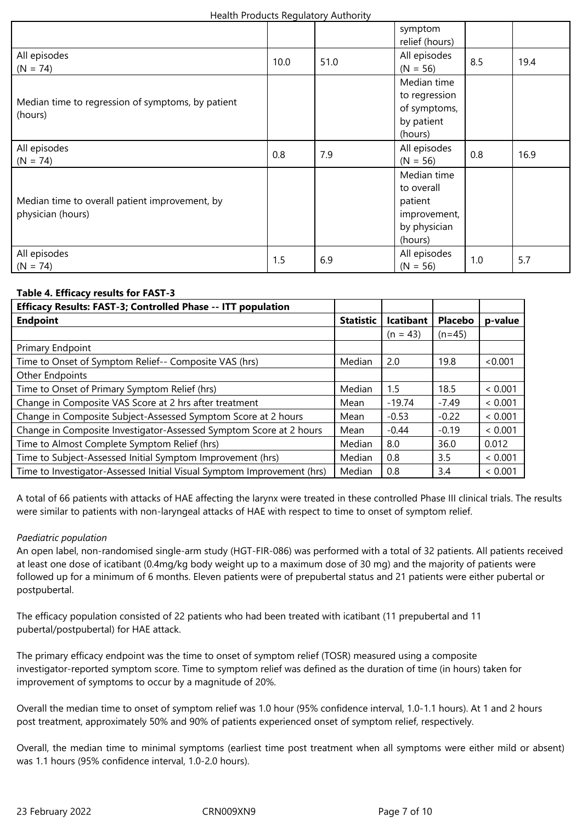|                                                                     |      |      | symptom<br>relief (hours)                                                       |     |      |
|---------------------------------------------------------------------|------|------|---------------------------------------------------------------------------------|-----|------|
| All episodes<br>$(N = 74)$                                          | 10.0 | 51.0 | All episodes<br>$(N = 56)$                                                      | 8.5 | 19.4 |
| Median time to regression of symptoms, by patient<br>(hours)        |      |      | Median time<br>to regression<br>of symptoms,<br>by patient<br>(hours)           |     |      |
| All episodes<br>$(N = 74)$                                          | 0.8  | 7.9  | All episodes<br>$(N = 56)$                                                      | 0.8 | 16.9 |
| Median time to overall patient improvement, by<br>physician (hours) |      |      | Median time<br>to overall<br>patient<br>improvement,<br>by physician<br>(hours) |     |      |
| All episodes<br>$(N = 74)$                                          | 1.5  | 6.9  | All episodes<br>$(N = 56)$                                                      | 1.0 | 5.7  |

# **Table 4. Efficacy results for FAST-3**

| Efficacy Results: FAST-3; Controlled Phase -- ITT population           |                  |                  |                |         |
|------------------------------------------------------------------------|------------------|------------------|----------------|---------|
| <b>Endpoint</b>                                                        | <b>Statistic</b> | <b>Icatibant</b> | <b>Placebo</b> | p-value |
|                                                                        |                  | $(n = 43)$       | $(n=45)$       |         |
| Primary Endpoint                                                       |                  |                  |                |         |
| Time to Onset of Symptom Relief-- Composite VAS (hrs)                  | Median           | 2.0              | 19.8           | < 0.001 |
| <b>Other Endpoints</b>                                                 |                  |                  |                |         |
| Time to Onset of Primary Symptom Relief (hrs)                          | Median           | 1.5              | 18.5           | < 0.001 |
| Change in Composite VAS Score at 2 hrs after treatment                 | Mean             | $-19.74$         | $-7.49$        | < 0.001 |
| Change in Composite Subject-Assessed Symptom Score at 2 hours          | Mean             | $-0.53$          | $-0.22$        | < 0.001 |
| Change in Composite Investigator-Assessed Symptom Score at 2 hours     | Mean             | $-0.44$          | $-0.19$        | < 0.001 |
| Time to Almost Complete Symptom Relief (hrs)                           | Median           | 8.0              | 36.0           | 0.012   |
| Time to Subject-Assessed Initial Symptom Improvement (hrs)             | Median           | 0.8              | 3.5            | < 0.001 |
| Time to Investigator-Assessed Initial Visual Symptom Improvement (hrs) | Median           | 0.8              | 3.4            | < 0.001 |

A total of 66 patients with attacks of HAE affecting the larynx were treated in these controlled Phase III clinical trials. The results were similar to patients with non-laryngeal attacks of HAE with respect to time to onset of symptom relief.

# *Paediatric population*

An open label, non-randomised single-arm study (HGT-FIR-086) was performed with a total of 32 patients. All patients received at least one dose of icatibant (0.4mg/kg body weight up to a maximum dose of 30 mg) and the majority of patients were followed up for a minimum of 6 months. Eleven patients were of prepubertal status and 21 patients were either pubertal or postpubertal.

The efficacy population consisted of 22 patients who had been treated with icatibant (11 prepubertal and 11 pubertal/postpubertal) for HAE attack.

The primary efficacy endpoint was the time to onset of symptom relief (TOSR) measured using a composite investigator-reported symptom score. Time to symptom relief was defined as the duration of time (in hours) taken for improvement of symptoms to occur by a magnitude of 20%.

Overall the median time to onset of symptom relief was 1.0 hour (95% confidence interval, 1.0-1.1 hours). At 1 and 2 hours post treatment, approximately 50% and 90% of patients experienced onset of symptom relief, respectively.

Overall, the median time to minimal symptoms (earliest time post treatment when all symptoms were either mild or absent) was 1.1 hours (95% confidence interval, 1.0-2.0 hours).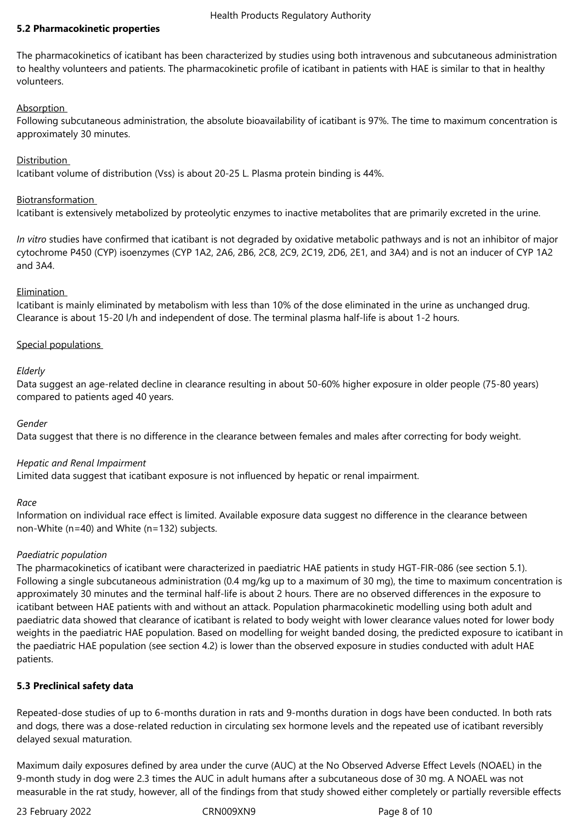## **5.2 Pharmacokinetic properties**

The pharmacokinetics of icatibant has been characterized by studies using both intravenous and subcutaneous administration to healthy volunteers and patients. The pharmacokinetic profile of icatibant in patients with HAE is similar to that in healthy volunteers.

# Absorption

Following subcutaneous administration, the absolute bioavailability of icatibant is 97%. The time to maximum concentration is approximately 30 minutes.

# **Distribution**

Icatibant volume of distribution (Vss) is about 20-25 L. Plasma protein binding is 44%.

## Biotransformation

Icatibant is extensively metabolized by proteolytic enzymes to inactive metabolites that are primarily excreted in the urine.

*In vitro* studies have confirmed that icatibant is not degraded by oxidative metabolic pathways and is not an inhibitor of major cytochrome P450 (CYP) isoenzymes (CYP 1A2, 2A6, 2B6, 2C8, 2C9, 2C19, 2D6, 2E1, and 3A4) and is not an inducer of CYP 1A2 and 3A4.

# Elimination

Icatibant is mainly eliminated by metabolism with less than 10% of the dose eliminated in the urine as unchanged drug. Clearance is about 15-20 l/h and independent of dose. The terminal plasma half-life is about 1-2 hours.

# Special populations

# *Elderly*

Data suggest an age-related decline in clearance resulting in about 50-60% higher exposure in older people (75-80 years) compared to patients aged 40 years.

# *Gender*

Data suggest that there is no difference in the clearance between females and males after correcting for body weight.

# *Hepatic and Renal Impairment*

Limited data suggest that icatibant exposure is not influenced by hepatic or renal impairment.

# *Race*

Information on individual race effect is limited. Available exposure data suggest no difference in the clearance between non-White (n=40) and White (n=132) subjects.

# *Paediatric population*

The pharmacokinetics of icatibant were characterized in paediatric HAE patients in study HGT-FIR-086 (see section 5.1). Following a single subcutaneous administration (0.4 mg/kg up to a maximum of 30 mg), the time to maximum concentration is approximately 30 minutes and the terminal half-life is about 2 hours. There are no observed differences in the exposure to icatibant between HAE patients with and without an attack. Population pharmacokinetic modelling using both adult and paediatric data showed that clearance of icatibant is related to body weight with lower clearance values noted for lower body weights in the paediatric HAE population. Based on modelling for weight banded dosing, the predicted exposure to icatibant in the paediatric HAE population (see section 4.2) is lower than the observed exposure in studies conducted with adult HAE patients.

# **5.3 Preclinical safety data**

Repeated-dose studies of up to 6-months duration in rats and 9-months duration in dogs have been conducted. In both rats and dogs, there was a dose-related reduction in circulating sex hormone levels and the repeated use of icatibant reversibly delayed sexual maturation.

Maximum daily exposures defined by area under the curve (AUC) at the No Observed Adverse Effect Levels (NOAEL) in the 9-month study in dog were 2.3 times the AUC in adult humans after a subcutaneous dose of 30 mg. A NOAEL was not measurable in the rat study, however, all of the findings from that study showed either completely or partially reversible effects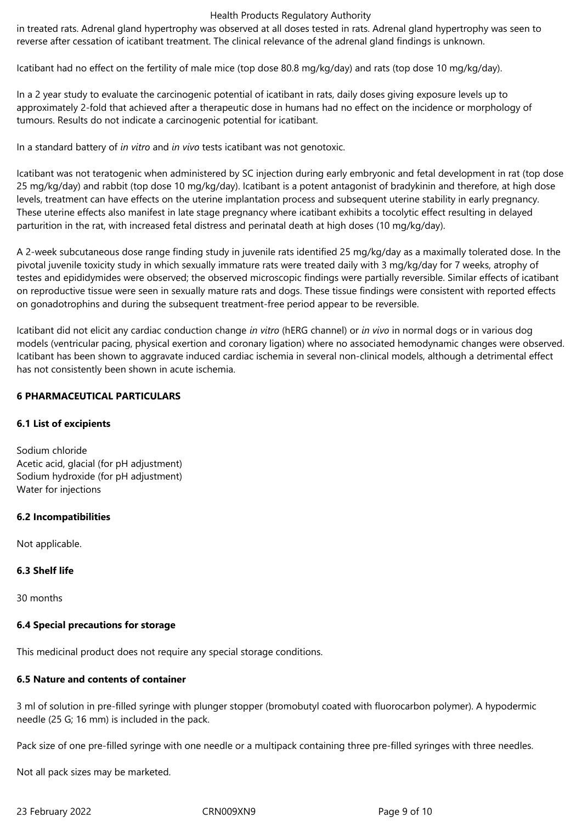in treated rats. Adrenal gland hypertrophy was observed at all doses tested in rats. Adrenal gland hypertrophy was seen to reverse after cessation of icatibant treatment. The clinical relevance of the adrenal gland findings is unknown.

Icatibant had no effect on the fertility of male mice (top dose 80.8 mg/kg/day) and rats (top dose 10 mg/kg/day).

In a 2 year study to evaluate the carcinogenic potential of icatibant in rats, daily doses giving exposure levels up to approximately 2-fold that achieved after a therapeutic dose in humans had no effect on the incidence or morphology of tumours. Results do not indicate a carcinogenic potential for icatibant.

In a standard battery of *in vitro* and *in vivo* tests icatibant was not genotoxic.

Icatibant was not teratogenic when administered by SC injection during early embryonic and fetal development in rat (top dose 25 mg/kg/day) and rabbit (top dose 10 mg/kg/day). Icatibant is a potent antagonist of bradykinin and therefore, at high dose levels, treatment can have effects on the uterine implantation process and subsequent uterine stability in early pregnancy. These uterine effects also manifest in late stage pregnancy where icatibant exhibits a tocolytic effect resulting in delayed parturition in the rat, with increased fetal distress and perinatal death at high doses (10 mg/kg/day).

A 2-week subcutaneous dose range finding study in juvenile rats identified 25 mg/kg/day as a maximally tolerated dose. In the pivotal juvenile toxicity study in which sexually immature rats were treated daily with 3 mg/kg/day for 7 weeks, atrophy of testes and epididymides were observed; the observed microscopic findings were partially reversible. Similar effects of icatibant on reproductive tissue were seen in sexually mature rats and dogs. These tissue findings were consistent with reported effects on gonadotrophins and during the subsequent treatment-free period appear to be reversible.

Icatibant did not elicit any cardiac conduction change *in vitro* (hERG channel) or *in vivo* in normal dogs or in various dog models (ventricular pacing, physical exertion and coronary ligation) where no associated hemodynamic changes were observed. Icatibant has been shown to aggravate induced cardiac ischemia in several non-clinical models, although a detrimental effect has not consistently been shown in acute ischemia.

## **6 PHARMACEUTICAL PARTICULARS**

# **6.1 List of excipients**

Sodium chloride Acetic acid, glacial (for pH adjustment) Sodium hydroxide (for pH adjustment) Water for injections

# **6.2 Incompatibilities**

Not applicable.

# **6.3 Shelf life**

30 months

# **6.4 Special precautions for storage**

This medicinal product does not require any special storage conditions.

# **6.5 Nature and contents of container**

3 ml of solution in pre-filled syringe with plunger stopper (bromobutyl coated with fluorocarbon polymer). A hypodermic needle (25 G; 16 mm) is included in the pack.

Pack size of one pre-filled syringe with one needle or a multipack containing three pre-filled syringes with three needles.

Not all pack sizes may be marketed.

23 February 2022 CRN009XN9 Page 9 of 10